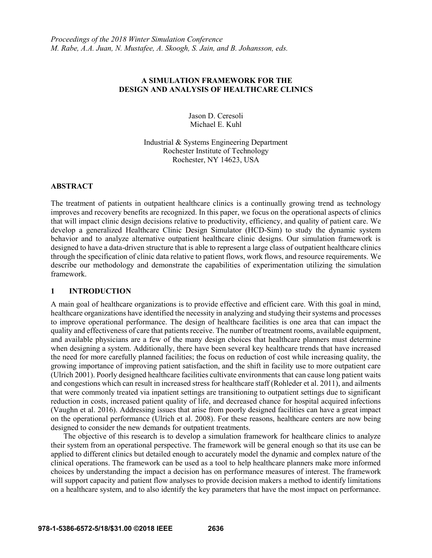# **A SIMULATION FRAMEWORK FOR THE DESIGN AND ANALYSIS OF HEALTHCARE CLINICS**

Jason D. Ceresoli Michael E. Kuhl

Industrial & Systems Engineering Department Rochester Institute of Technology Rochester, NY 14623, USA

# **ABSTRACT**

The treatment of patients in outpatient healthcare clinics is a continually growing trend as technology improves and recovery benefits are recognized. In this paper, we focus on the operational aspects of clinics that will impact clinic design decisions relative to productivity, efficiency, and quality of patient care. We develop a generalized Healthcare Clinic Design Simulator (HCD-Sim) to study the dynamic system behavior and to analyze alternative outpatient healthcare clinic designs. Our simulation framework is designed to have a data-driven structure that is able to represent a large class of outpatient healthcare clinics through the specification of clinic data relative to patient flows, work flows, and resource requirements. We describe our methodology and demonstrate the capabilities of experimentation utilizing the simulation framework.

# **1 INTRODUCTION**

A main goal of healthcare organizations is to provide effective and efficient care. With this goal in mind, healthcare organizations have identified the necessity in analyzing and studying their systems and processes to improve operational performance. The design of healthcare facilities is one area that can impact the quality and effectiveness of care that patients receive. The number of treatment rooms, available equipment, and available physicians are a few of the many design choices that healthcare planners must determine when designing a system. Additionally, there have been several key healthcare trends that have increased the need for more carefully planned facilities; the focus on reduction of cost while increasing quality, the growing importance of improving patient satisfaction, and the shift in facility use to more outpatient care (Ulrich 2001). Poorly designed healthcare facilities cultivate environments that can cause long patient waits and congestions which can result in increased stress for healthcare staff (Rohleder et al. 2011), and ailments that were commonly treated via inpatient settings are transitioning to outpatient settings due to significant reduction in costs, increased patient quality of life, and decreased chance for hospital acquired infections (Vaughn et al. 2016). Addressing issues that arise from poorly designed facilities can have a great impact on the operational performance (Ulrich et al. 2008). For these reasons, healthcare centers are now being designed to consider the new demands for outpatient treatments.

The objective of this research is to develop a simulation framework for healthcare clinics to analyze their system from an operational perspective. The framework will be general enough so that its use can be applied to different clinics but detailed enough to accurately model the dynamic and complex nature of the clinical operations. The framework can be used as a tool to help healthcare planners make more informed choices by understanding the impact a decision has on performance measures of interest. The framework will support capacity and patient flow analyses to provide decision makers a method to identify limitations on a healthcare system, and to also identify the key parameters that have the most impact on performance.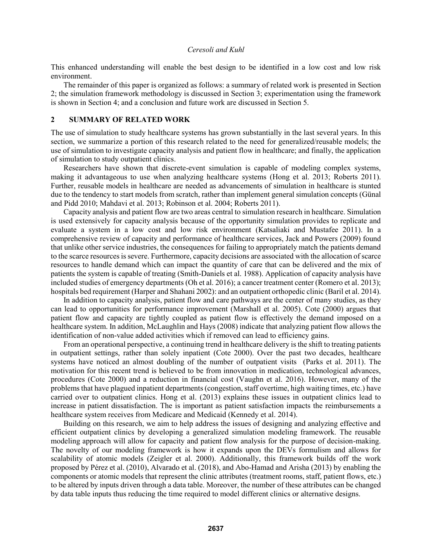This enhanced understanding will enable the best design to be identified in a low cost and low risk environment.

The remainder of this paper is organized as follows: a summary of related work is presented in Section 2; the simulation framework methodology is discussed in Section 3; experimentation using the framework is shown in Section 4; and a conclusion and future work are discussed in Section 5.

#### **2 SUMMARY OF RELATED WORK**

The use of simulation to study healthcare systems has grown substantially in the last several years. In this section, we summarize a portion of this research related to the need for generalized/reusable models; the use of simulation to investigate capacity analysis and patient flow in healthcare; and finally, the application of simulation to study outpatient clinics.

Researchers have shown that discrete-event simulation is capable of modeling complex systems, making it advantageous to use when analyzing healthcare systems (Hong et al. 2013; Roberts 2011). Further, reusable models in healthcare are needed as advancements of simulation in healthcare is stunted due to the tendency to start models from scratch, rather than implement general simulation concepts (Günal and Pidd 2010; Mahdavi et al. 2013; Robinson et al. 2004; Roberts 2011).

Capacity analysis and patient flow are two areas central to simulation research in healthcare. Simulation is used extensively for capacity analysis because of the opportunity simulation provides to replicate and evaluate a system in a low cost and low risk environment (Katsaliaki and Mustafee 2011). In a comprehensive review of capacity and performance of healthcare services, Jack and Powers (2009) found that unlike other service industries, the consequences for failing to appropriately match the patients demand to the scarce resources is severe. Furthermore, capacity decisions are associated with the allocation of scarce resources to handle demand which can impact the quantity of care that can be delivered and the mix of patients the system is capable of treating (Smith-Daniels et al. 1988). Application of capacity analysis have included studies of emergency departments (Oh et al. 2016); a cancer treatment center (Romero et al. 2013); hospitals bed requirement (Harper and Shahani 2002): and an outpatient orthopedic clinic (Baril et al. 2014).

In addition to capacity analysis, patient flow and care pathways are the center of many studies, as they can lead to opportunities for performance improvement (Marshall et al. 2005). Cote (2000) argues that patient flow and capacity are tightly coupled as patient flow is effectively the demand imposed on a healthcare system. In addition, McLaughlin and Hays (2008) indicate that analyzing patient flow allows the identification of non-value added activities which if removed can lead to efficiency gains.

From an operational perspective, a continuing trend in healthcare delivery is the shift to treating patients in outpatient settings, rather than solely inpatient (Cote 2000). Over the past two decades, healthcare systems have noticed an almost doubling of the number of outpatient visits (Parks et al. 2011). The motivation for this recent trend is believed to be from innovation in medication, technological advances, procedures (Cote 2000) and a reduction in financial cost (Vaughn et al. 2016). However, many of the problems that have plagued inpatient departments (congestion, staff overtime, high waiting times, etc.) have carried over to outpatient clinics. Hong et al. (2013) explains these issues in outpatient clinics lead to increase in patient dissatisfaction. The is important as patient satisfaction impacts the reimbursements a healthcare system receives from Medicare and Medicaid (Kennedy et al. 2014).

Building on this research, we aim to help address the issues of designing and analyzing effective and efficient outpatient clinics by developing a generalized simulation modeling framework. The reusable modeling approach will allow for capacity and patient flow analysis for the purpose of decision-making. The novelty of our modeling framework is how it expands upon the DEVs formulism and allows for scalability of atomic models (Zeigler et al. 2000). Additionally, this framework builds off the work proposed by Pérez et al. (2010), Alvarado et al. (2018), and Abo-Hamad and Arisha (2013) by enabling the components or atomic models that represent the clinic attributes (treatment rooms, staff, patient flows, etc.) to be altered by inputs driven through a data table. Moreover, the number of these attributes can be changed by data table inputs thus reducing the time required to model different clinics or alternative designs.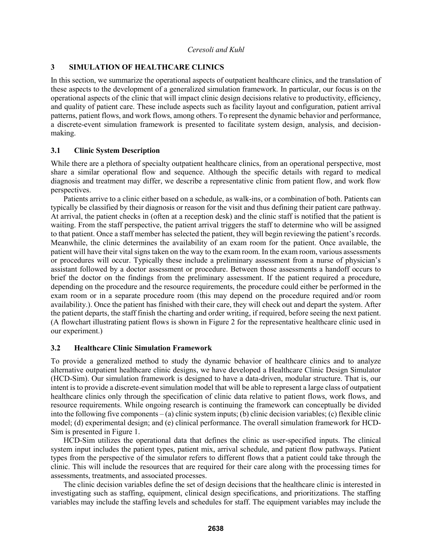# **3 SIMULATION OF HEALTHCARE CLINICS**

In this section, we summarize the operational aspects of outpatient healthcare clinics, and the translation of these aspects to the development of a generalized simulation framework. In particular, our focus is on the operational aspects of the clinic that will impact clinic design decisions relative to productivity, efficiency, and quality of patient care. These include aspects such as facility layout and configuration, patient arrival patterns, patient flows, and work flows, among others. To represent the dynamic behavior and performance, a discrete-event simulation framework is presented to facilitate system design, analysis, and decisionmaking.

# **3.1 Clinic System Description**

While there are a plethora of specialty outpatient healthcare clinics, from an operational perspective, most share a similar operational flow and sequence. Although the specific details with regard to medical diagnosis and treatment may differ, we describe a representative clinic from patient flow, and work flow perspectives.

Patients arrive to a clinic either based on a schedule, as walk-ins, or a combination of both. Patients can typically be classified by their diagnosis or reason for the visit and thus defining their patient care pathway. At arrival, the patient checks in (often at a reception desk) and the clinic staff is notified that the patient is waiting. From the staff perspective, the patient arrival triggers the staff to determine who will be assigned to that patient. Once a staff member has selected the patient, they will begin reviewing the patient's records. Meanwhile, the clinic determines the availability of an exam room for the patient. Once available, the patient will have their vital signs taken on the way to the exam room. In the exam room, various assessments or procedures will occur. Typically these include a preliminary assessment from a nurse of physician's assistant followed by a doctor assessment or procedure. Between those assessments a handoff occurs to brief the doctor on the findings from the preliminary assessment. If the patient required a procedure, depending on the procedure and the resource requirements, the procedure could either be performed in the exam room or in a separate procedure room (this may depend on the procedure required and/or room availability.). Once the patient has finished with their care, they will check out and depart the system. After the patient departs, the staff finish the charting and order writing, if required, before seeing the next patient. (A flowchart illustrating patient flows is shown in Figure 2 for the representative healthcare clinic used in our experiment.)

# **3.2 Healthcare Clinic Simulation Framework**

To provide a generalized method to study the dynamic behavior of healthcare clinics and to analyze alternative outpatient healthcare clinic designs, we have developed a Healthcare Clinic Design Simulator (HCD-Sim). Our simulation framework is designed to have a data-driven, modular structure. That is, our intent is to provide a discrete-event simulation model that will be able to represent a large class of outpatient healthcare clinics only through the specification of clinic data relative to patient flows, work flows, and resource requirements. While ongoing research is continuing the framework can conceptually be divided into the following five components – (a) clinic system inputs; (b) clinic decision variables; (c) flexible clinic model; (d) experimental design; and (e) clinical performance. The overall simulation framework for HCD-Sim is presented in Figure 1.

HCD-Sim utilizes the operational data that defines the clinic as user-specified inputs. The clinical system input includes the patient types, patient mix, arrival schedule, and patient flow pathways. Patient types from the perspective of the simulator refers to different flows that a patient could take through the clinic. This will include the resources that are required for their care along with the processing times for assessments, treatments, and associated processes.

The clinic decision variables define the set of design decisions that the healthcare clinic is interested in investigating such as staffing, equipment, clinical design specifications, and prioritizations. The staffing variables may include the staffing levels and schedules for staff. The equipment variables may include the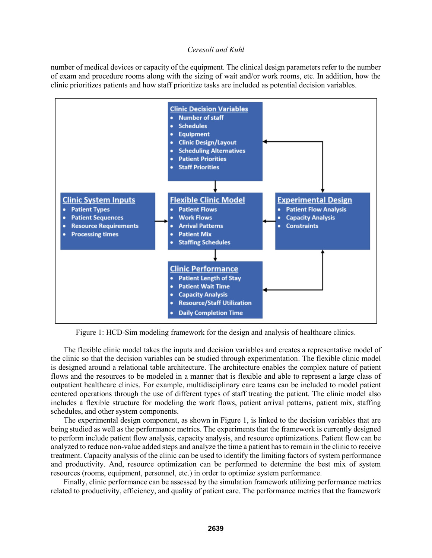number of medical devices or capacity of the equipment. The clinical design parameters refer to the number of exam and procedure rooms along with the sizing of wait and/or work rooms, etc. In addition, how the clinic prioritizes patients and how staff prioritize tasks are included as potential decision variables.



Figure 1: HCD-Sim modeling framework for the design and analysis of healthcare clinics.

The flexible clinic model takes the inputs and decision variables and creates a representative model of the clinic so that the decision variables can be studied through experimentation. The flexible clinic model is designed around a relational table architecture. The architecture enables the complex nature of patient flows and the resources to be modeled in a manner that is flexible and able to represent a large class of outpatient healthcare clinics. For example, multidisciplinary care teams can be included to model patient centered operations through the use of different types of staff treating the patient. The clinic model also includes a flexible structure for modeling the work flows, patient arrival patterns, patient mix, staffing schedules, and other system components.

The experimental design component, as shown in Figure 1, is linked to the decision variables that are being studied as well as the performance metrics. The experiments that the framework is currently designed to perform include patient flow analysis, capacity analysis, and resource optimizations. Patient flow can be analyzed to reduce non-value added steps and analyze the time a patient has to remain in the clinic to receive treatment. Capacity analysis of the clinic can be used to identify the limiting factors of system performance and productivity. And, resource optimization can be performed to determine the best mix of system resources (rooms, equipment, personnel, etc.) in order to optimize system performance.

Finally, clinic performance can be assessed by the simulation framework utilizing performance metrics related to productivity, efficiency, and quality of patient care. The performance metrics that the framework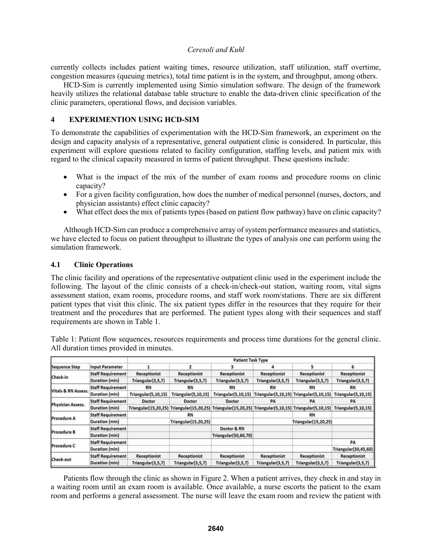currently collects includes patient waiting times, resource utilization, staff utilization, staff overtime, congestion measures (queuing metrics), total time patient is in the system, and throughput, among others.

HCD-Sim is currently implemented using Simio simulation software. The design of the framework heavily utilizes the relational database table structure to enable the data-driven clinic specification of the clinic parameters, operational flows, and decision variables.

## **4 EXPERIMENTION USING HCD-SIM**

To demonstrate the capabilities of experimentation with the HCD-Sim framework, an experiment on the design and capacity analysis of a representative, general outpatient clinic is considered. In particular, this experiment will explore questions related to facility configuration, staffing levels, and patient mix with regard to the clinical capacity measured in terms of patient throughput. These questions include:

- What is the impact of the mix of the number of exam rooms and procedure rooms on clinic capacity?
- For a given facility configuration, how does the number of medical personnel (nurses, doctors, and physician assistants) effect clinic capacity?
- What effect does the mix of patients types (based on patient flow pathway) have on clinic capacity?

Although HCD-Sim can produce a comprehensive array of system performance measures and statistics, we have elected to focus on patient throughput to illustrate the types of analysis one can perform using the simulation framework.

## **4.1 Clinic Operations**

The clinic facility and operations of the representative outpatient clinic used in the experiment include the following. The layout of the clinic consists of a check-in/check-out station, waiting room, vital signs assessment station, exam rooms, procedure rooms, and staff work room/stations. There are six different patient types that visit this clinic. The six patient types differ in the resources that they require for their treatment and the procedures that are performed. The patient types along with their sequences and staff requirements are shown in Table 1.

Table 1: Patient flow sequences, resources requirements and process time durations for the general clinic. All duration times provided in minutes.

| <b>Sequence Step</b>           | <b>Input Parameter</b>   | <b>Patient Task Type</b> |                             |                                                                                                        |                             |                                         |                        |
|--------------------------------|--------------------------|--------------------------|-----------------------------|--------------------------------------------------------------------------------------------------------|-----------------------------|-----------------------------------------|------------------------|
|                                |                          |                          |                             |                                                                                                        |                             |                                         | Б                      |
| Check-in                       | <b>Staff Requirement</b> | Receptionist             | <b>Receptionist</b>         | <b>Receptionist</b>                                                                                    | Receptionist                | <b>Receptionist</b>                     | Receptionist           |
|                                | Duration (min)           | Triangular(3,5,7)        | Triangular(3,5,7)           | Triangular(3,5,7)                                                                                      | Triangular(3,5,7)           | Triangular(3,5,7)                       | Triangular(3,5,7)      |
| <b>Vitals &amp; RN Assess.</b> | <b>Staff Requirement</b> | <b>RN</b>                | <b>RN</b>                   | RN                                                                                                     | <b>RN</b>                   | <b>RN</b>                               | <b>RN</b>              |
|                                | Duration (min)           | Triangular(5,10,15)      | <b>Triangular(5,10,15)</b>  | <b>Triangular(5,10,15)</b>                                                                             |                             | Triangular(5,10,15) Triangular(5,10,15) | Triangular(5,10,15)    |
| Physician Assess.              | <b>Staff Requirement</b> | Doctor                   | Doctor                      | Doctor                                                                                                 | PA                          | PA                                      | PA                     |
|                                | Duration (min)           |                          |                             | Triangular(15,20,25) Triangular(15,20,25) Triangular(15,20,25) Triangular(5,10,15) Triangular(5,10,15) |                             |                                         | Triangular $(5,10,15)$ |
| Procedure A                    | <b>Staff Requirement</b> |                          | <b>RN</b>                   |                                                                                                        |                             | <b>RN</b>                               |                        |
|                                | Duration (min)           |                          | <b>Triangular(15,20,25)</b> |                                                                                                        | <b>Triangular(15,20,25)</b> |                                         |                        |
| Procedure B                    | <b>Staff Requirement</b> |                          |                             | Doctor & RN                                                                                            |                             |                                         |                        |
|                                | Duration (min)           |                          |                             | <b>Triangular(50,60,70)</b>                                                                            |                             |                                         |                        |
| Procedure C                    | <b>Staff Requirement</b> |                          |                             |                                                                                                        |                             |                                         | PA                     |
|                                | Duration (min)           |                          |                             |                                                                                                        |                             |                                         | Triangular(30,45,60)   |
| Check-out                      | <b>Staff Requirement</b> | Receptionist             | <b>Receptionist</b>         | <b>Receptionist</b>                                                                                    | Receptionist                | <b>Receptionist</b>                     | <b>Receptionist</b>    |
|                                | Duration (min)           | Triangular(3,5,7)        | Triangular(3,5,7)           | Triangular(3,5,7)                                                                                      | Triangular(3,5,7)           | Triangular(3,5,7)                       | Triangular(3,5,7)      |

Patients flow through the clinic as shown in Figure 2. When a patient arrives, they check in and stay in a waiting room until an exam room is available. Once available, a nurse escorts the patient to the exam room and performs a general assessment. The nurse will leave the exam room and review the patient with

.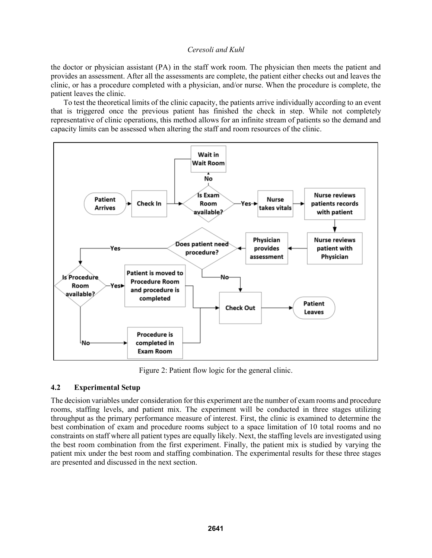the doctor or physician assistant (PA) in the staff work room. The physician then meets the patient and provides an assessment. After all the assessments are complete, the patient either checks out and leaves the clinic, or has a procedure completed with a physician, and/or nurse. When the procedure is complete, the patient leaves the clinic.

To test the theoretical limits of the clinic capacity, the patients arrive individually according to an event that is triggered once the previous patient has finished the check in step. While not completely representative of clinic operations, this method allows for an infinite stream of patients so the demand and capacity limits can be assessed when altering the staff and room resources of the clinic.



Figure 2: Patient flow logic for the general clinic.

# **4.2 Experimental Setup**

The decision variables under consideration for this experiment are the number of exam rooms and procedure rooms, staffing levels, and patient mix. The experiment will be conducted in three stages utilizing throughput as the primary performance measure of interest. First, the clinic is examined to determine the best combination of exam and procedure rooms subject to a space limitation of 10 total rooms and no constraints on staff where all patient types are equally likely. Next, the staffing levels are investigated using the best room combination from the first experiment. Finally, the patient mix is studied by varying the patient mix under the best room and staffing combination. The experimental results for these three stages are presented and discussed in the next section.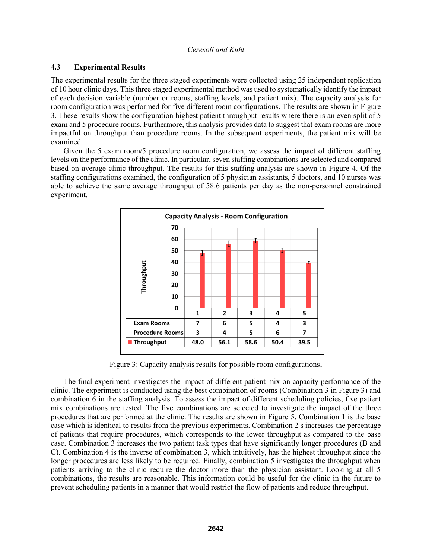# **4.3 Experimental Results**

The experimental results for the three staged experiments were collected using 25 independent replication of 10 hour clinic days. This three staged experimental method was used to systematically identify the impact of each decision variable (number or rooms, staffing levels, and patient mix). The capacity analysis for room configuration was performed for five different room configurations. The results are shown in Figure 3. These results show the configuration highest patient throughput results where there is an even split of 5 exam and 5 procedure rooms. Furthermore, this analysis provides data to suggest that exam rooms are more impactful on throughput than procedure rooms. In the subsequent experiments, the patient mix will be examined.

Given the 5 exam room/5 procedure room configuration, we assess the impact of different staffing levels on the performance of the clinic. In particular, seven staffing combinations are selected and compared based on average clinic throughput. The results for this staffing analysis are shown in Figure 4. Of the staffing configurations examined, the configuration of 5 physician assistants, 5 doctors, and 10 nurses was able to achieve the same average throughput of 58.6 patients per day as the non-personnel constrained experiment.



Figure 3: Capacity analysis results for possible room configurations**.**

The final experiment investigates the impact of different patient mix on capacity performance of the clinic. The experiment is conducted using the best combination of rooms (Combination 3 in Figure 3) and combination 6 in the staffing analysis. To assess the impact of different scheduling policies, five patient mix combinations are tested. The five combinations are selected to investigate the impact of the three procedures that are performed at the clinic. The results are shown in Figure 5. Combination 1 is the base case which is identical to results from the previous experiments. Combination 2 s increases the percentage of patients that require procedures, which corresponds to the lower throughput as compared to the base case. Combination 3 increases the two patient task types that have significantly longer procedures (B and C). Combination 4 is the inverse of combination 3, which intuitively, has the highest throughput since the longer procedures are less likely to be required. Finally, combination 5 investigates the throughput when patients arriving to the clinic require the doctor more than the physician assistant. Looking at all 5 combinations, the results are reasonable. This information could be useful for the clinic in the future to prevent scheduling patients in a manner that would restrict the flow of patients and reduce throughput.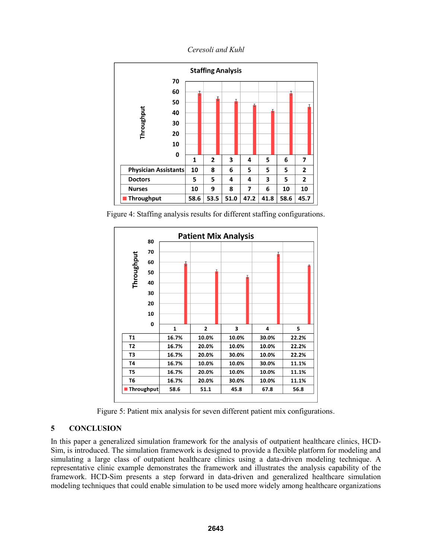*Ceresoli and Kuhl*



Figure 4: Staffing analysis results for different staffing configurations.



Figure 5: Patient mix analysis for seven different patient mix configurations.

# **5 CONCLUSION**

In this paper a generalized simulation framework for the analysis of outpatient healthcare clinics, HCD-Sim, is introduced. The simulation framework is designed to provide a flexible platform for modeling and simulating a large class of outpatient healthcare clinics using a data-driven modeling technique. A representative clinic example demonstrates the framework and illustrates the analysis capability of the framework. HCD-Sim presents a step forward in data-driven and generalized healthcare simulation modeling techniques that could enable simulation to be used more widely among healthcare organizations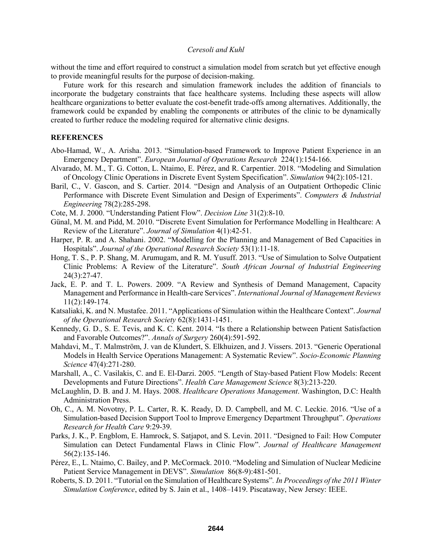without the time and effort required to construct a simulation model from scratch but yet effective enough to provide meaningful results for the purpose of decision-making.

Future work for this research and simulation framework includes the addition of financials to incorporate the budgetary constraints that face healthcare systems. Including these aspects will allow healthcare organizations to better evaluate the cost-benefit trade-offs among alternatives. Additionally, the framework could be expanded by enabling the components or attributes of the clinic to be dynamically created to further reduce the modeling required for alternative clinic designs.

## **REFERENCES**

- Abo-Hamad, W., A. Arisha. 2013. "Simulation-based Framework to Improve Patient Experience in an Emergency Department". *European Journal of Operations Research* 224(1):154-166.
- Alvarado, M. M., T. G. Cotton, L. Ntaimo, E. Pérez, and R. Carpentier. 2018. "Modeling and Simulation of Oncology Clinic Operations in Discrete Event System Specification". *Simulation* 94(2):105-121.
- Baril, C., V. Gascon, and S. Cartier. 2014. "Design and Analysis of an Outpatient Orthopedic Clinic Performance with Discrete Event Simulation and Design of Experiments". *Computers & Industrial Engineering* 78(2):285-298.
- Cote, M. J. 2000. "Understanding Patient Flow". *Decision Line* 31(2):8-10.
- Günal, M. M. and Pidd, M. 2010. "Discrete Event Simulation for Performance Modelling in Healthcare: A Review of the Literature". *Journal of Simulation* 4(1):42-51.
- Harper, P. R. and A. Shahani. 2002. "Modelling for the Planning and Management of Bed Capacities in Hospitals". *Journal of the Operational Research Society* 53(1):11-18.
- Hong, T. S., P. P. Shang, M. Arumugam, and R. M. Yusuff. 2013. "Use of Simulation to Solve Outpatient Clinic Problems: A Review of the Literature". *South African Journal of Industrial Engineering*  24(3):27-47.
- Jack, E. P. and T. L. Powers. 2009. "A Review and Synthesis of Demand Management, Capacity Management and Performance in Health-care Services". *International Journal of Management Reviews*  11(2):149-174.
- Katsaliaki, K. and N. Mustafee. 2011. "Applications of Simulation within the Healthcare Context". *Journal of the Operational Research Society* 62(8):1431-1451.
- Kennedy, G. D., S. E. Tevis, and K. C. Kent. 2014. "Is there a Relationship between Patient Satisfaction and Favorable Outcomes?". *Annals of Surgery* 260(4):591-592.
- Mahdavi, M., T. Malmström, J. van de Klundert, S. Elkhuizen, and J. Vissers. 2013. "Generic Operational Models in Health Service Operations Management: A Systematic Review". *Socio-Economic Planning Science* 47(4):271-280.
- Marshall, A., C. Vasilakis, C. and E. El-Darzi. 2005. "Length of Stay-based Patient Flow Models: Recent Developments and Future Directions". *Health Care Management Science* 8(3):213-220.
- McLaughlin, D. B. and J. M. Hays. 2008. *Healthcare Operations Management*. Washington, D.C: Health Administration Press.
- Oh, C., A. M. Novotny, P. L. Carter, R. K. Ready, D. D. Campbell, and M. C. Leckie. 2016. "Use of a Simulation-based Decision Support Tool to Improve Emergency Department Throughput". *Operations Research for Health Care* 9:29-39.
- Parks, J. K., P. Engblom, E. Hamrock, S. Satjapot, and S. Levin. 2011. "Designed to Fail: How Computer Simulation can Detect Fundamental Flaws in Clinic Flow". *Journal of Healthcare Management* 56(2):135-146.
- Pérez, E., L. Ntaimo, C. Bailey, and P. McCormack. 2010. "Modeling and Simulation of Nuclear Medicine Patient Service Management in DEVS". *Simulation* 86(8-9):481-501.
- Roberts, S. D. 2011. "Tutorial on the Simulation of Healthcare Systems"*. In Proceedings of the 2011 Winter Simulation Conference*, edited by S. Jain et al., 1408–1419. Piscataway, New Jersey: IEEE.